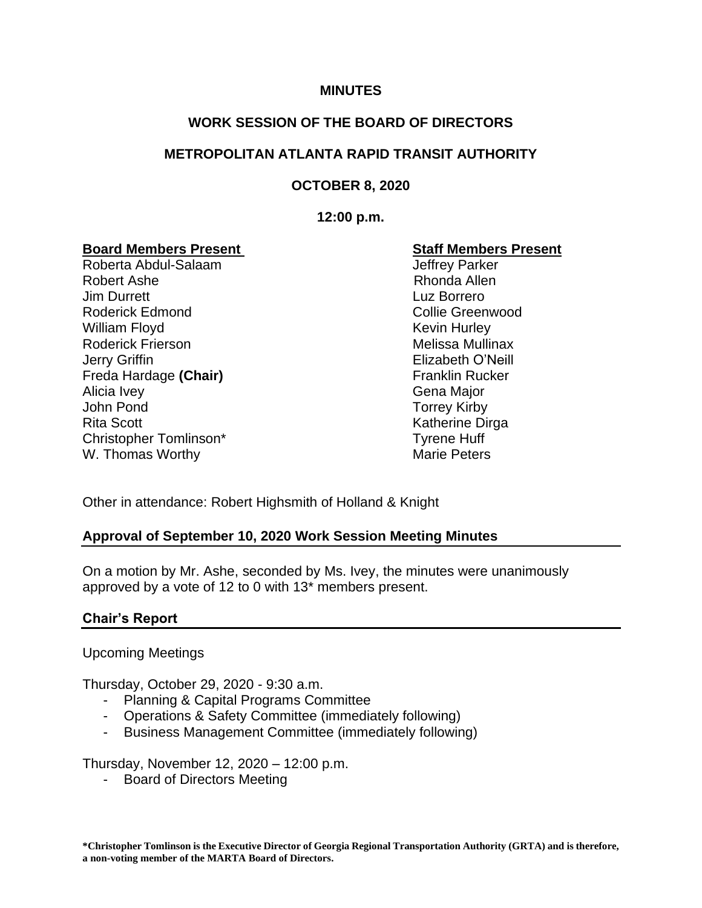### **MINUTES**

## **WORK SESSION OF THE BOARD OF DIRECTORS**

## **METROPOLITAN ATLANTA RAPID TRANSIT AUTHORITY**

## **OCTOBER 8, 2020**

#### **12:00 p.m.**

### **Board Members Present Staff Members Present**

Roberta Abdul-Salaam Jeffrey Parker Robert Ashe **Rhonda** Allen **Jim Durrett** Luz Borrero Roderick Edmond Collie Greenwood William Floyd **Kevin Hurley** Kevin Hurley Roderick Frierson **Melissa Mullinax** Melissa Mullinax Jerry Griffin Elizabeth O'Neill Freda Hardage (Chair) **Franklin Rucker** Franklin Rucker Alicia Ivey **Gena Major** Gena Major John Pond Torrey Kirby Rita Scott **Katherine Dirga** Christopher Tomlinson\* Tyrene Huff W. Thomas Worthy Marie Peters

Other in attendance: Robert Highsmith of Holland & Knight

### **Approval of September 10, 2020 Work Session Meeting Minutes**

On a motion by Mr. Ashe, seconded by Ms. Ivey, the minutes were unanimously approved by a vote of 12 to 0 with 13\* members present.

### **Chair's Report**

Upcoming Meetings

Thursday, October 29, 2020 - 9:30 a.m.

- Planning & Capital Programs Committee
- Operations & Safety Committee (immediately following)
- Business Management Committee (immediately following)

Thursday, November 12, 2020 – 12:00 p.m.

- Board of Directors Meeting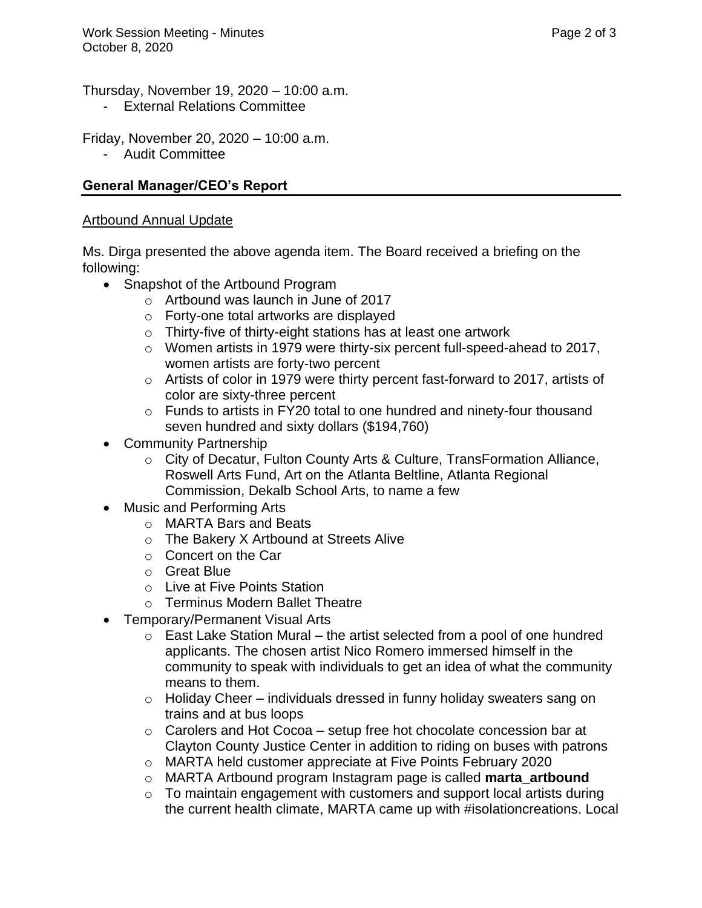Thursday, November 19, 2020 – 10:00 a.m.

**External Relations Committee** 

Friday, November 20, 2020 – 10:00 a.m.

- Audit Committee

# **General Manager/CEO's Report**

## Artbound Annual Update

Ms. Dirga presented the above agenda item. The Board received a briefing on the following:

- Snapshot of the Artbound Program
	- o Artbound was launch in June of 2017
	- o Forty-one total artworks are displayed
	- o Thirty-five of thirty-eight stations has at least one artwork
	- o Women artists in 1979 were thirty-six percent full-speed-ahead to 2017, women artists are forty-two percent
	- o Artists of color in 1979 were thirty percent fast-forward to 2017, artists of color are sixty-three percent
	- o Funds to artists in FY20 total to one hundred and ninety-four thousand seven hundred and sixty dollars (\$194,760)
- Community Partnership
	- o City of Decatur, Fulton County Arts & Culture, TransFormation Alliance, Roswell Arts Fund, Art on the Atlanta Beltline, Atlanta Regional Commission, Dekalb School Arts, to name a few
- Music and Performing Arts
	- o MARTA Bars and Beats
	- o The Bakery X Artbound at Streets Alive
	- o Concert on the Car
	- o Great Blue
	- o Live at Five Points Station
	- o Terminus Modern Ballet Theatre
- Temporary/Permanent Visual Arts
	- $\circ$  East Lake Station Mural the artist selected from a pool of one hundred applicants. The chosen artist Nico Romero immersed himself in the community to speak with individuals to get an idea of what the community means to them.
	- $\circ$  Holiday Cheer individuals dressed in funny holiday sweaters sang on trains and at bus loops
	- $\circ$  Carolers and Hot Cocoa setup free hot chocolate concession bar at Clayton County Justice Center in addition to riding on buses with patrons
	- o MARTA held customer appreciate at Five Points February 2020
	- o MARTA Artbound program Instagram page is called **marta\_artbound**
	- $\circ$  To maintain engagement with customers and support local artists during the current health climate, MARTA came up with #isolationcreations. Local